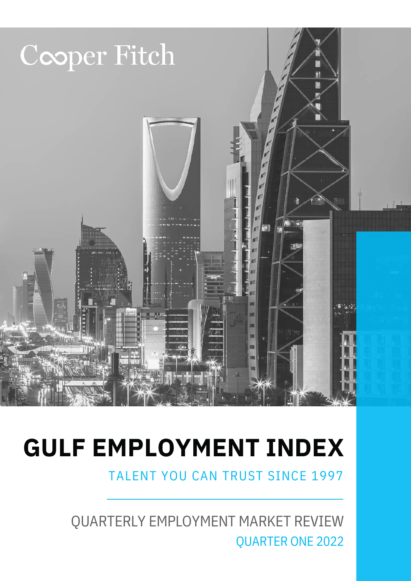

TALENT YOU CAN TRUST SINCE 1997

QUARTERLY EMPLOYMENT MARKET REVIEW QUARTER ONE 2022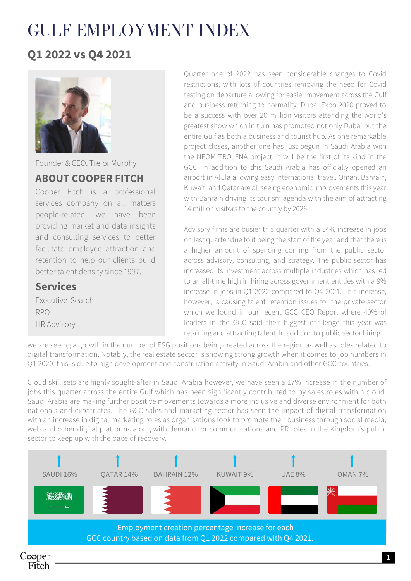#### **Q1 2022 vs Q4 2021**



Founder & CEO, Trefor Murphy

#### **ABOUT COOPER FITCH**

Cooper Fitch is a professional services company on all matters people-related, we have been providing market and data insights and consulting services to better facilitate employee attraction and retention to help our clients build better talent density since 1997.

#### **Services**

Executive Search RPO HR Advisory

Quarter one of 2022 has seen considerable changes to Covid restrictions, with lots of countries removing the need for Covid testing on departure allowing for easier movement across the Gulf and business returning to normality. Dubai Expo 2020 proved to be a success with over 20 million visitors attending the world's greatest show which in turn has promoted not only Dubai but the entire Gulf as both a business and tourist hub. As one remarkable project closes, another one has just begun in Saudi Arabia with the NEOM TROJENA project, it will be the first of its kind in the GCC. In addition to this Saudi Arabia has officially opened an airport in AlUla allowing easy international travel. Oman, Bahrain, Kuwait, and Qatar are all seeing economic improvements this year with Bahrain driving its tourism agenda with the aim of attracting 14 million visitors to the country by 2026.

Advisory firms are busier this quarter with a 14% increase in jobs on last quarter due to it being the start of the year and that there is a higher amount of spending coming from the public sector across advisory, consulting, and strategy. The public sector has increased its investment across multiple industries which has led to an all-time high in hiring across government entities with a 9% increase in jobs in Q1 2022 compared to Q4 2021. This increase, however, is causing talent retention issues for the private sector which we found in our recent GCC CEO Report where 40% of leaders in the GCC said their biggest challenge this year was retaining and attracting talent. In addition to public sector hiring

we are seeing a growth in the number of ESG positions being created across the region as well as roles related to digital transformation. Notably, the real estate sector is showing strong growth when it comes to job numbers in Q1 2020, this is due to high development and construction activity in Saudi Arabia and other GCC countries.

Cloud skill sets are highly sought-after in Saudi Arabia however, we have seen a 17% increase in the number of jobs this quarter across the entire Gulf which has been significantly contributed to by sales roles within cloud. Saudi Arabia are making further positive movements towards a more inclusive and diverse environment for both nationals and expatriates. The GCC sales and marketing sector has seen the impact of digital transformation with an increase in digital marketing roles as organisations look to promote their business through social media, web and other digital platforms along with demand for communications and PR roles in the Kingdom's public sector to keep up with the pace of recovery.

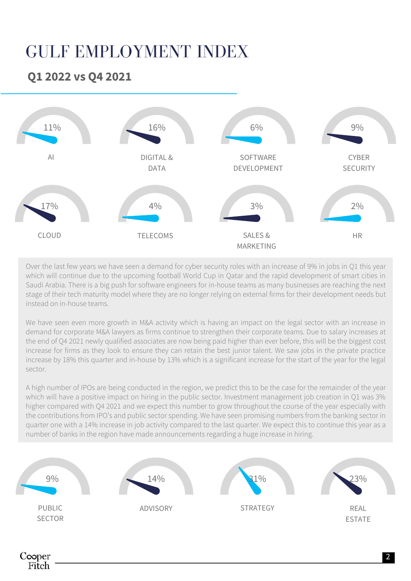#### **Q1 2022 vs Q4 2021**

Cooper Fitch



Over the last few years we have seen a demand for cyber security roles with an increase of 9% in jobs in Q1 this year which will continue due to the upcoming football World Cup in Qatar and the rapid development of smart cities in Saudi Arabia. There is a big push for software engineers for in-house teams as many businesses are reaching the next stage of their tech maturity model where they are no longer relying on external firms for their development needs but instead on in-house teams.

We have seen even more growth in M&A activity which is having an impact on the legal sector with an increase in demand for corporate M&A lawyers as firms continue to strengthen their corporate teams. Due to salary increases at the end of Q4 2021 newly qualified associates are now being paid higher than ever before, this will be the biggest cost increase for firms as they look to ensure they can retain the best junior talent. We saw jobs in the private practice increase by 18% this quarter and in-house by 13% which is a significant increase for the start of the year for the legal sector.

A high number of IPOs are being conducted in the region, we predict this to be the case for the remainder of the year which will have a positive impact on hiring in the public sector. Investment management job creation in Q1 was 3% higher compared with Q4 2021 and we expect this number to grow throughout the course of the year especially with the contributions from IPO's and public sector spending. We have seen promising numbers from the banking sector in quarter one with a 14% increase in job activity compared to the last quarter. We expect this to continue this year as a number of banks in the region have made announcements regarding a huge increase in hiring.

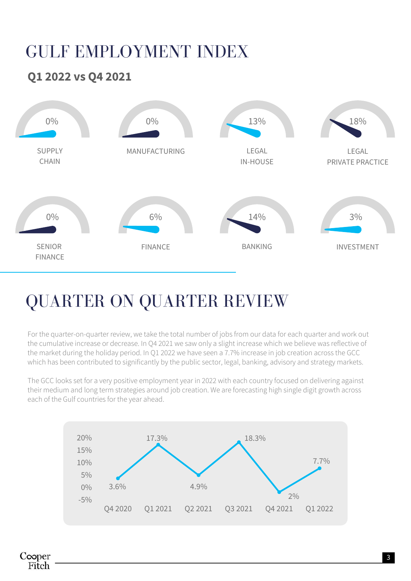#### **Q1 2022 vs Q4 2021**



## QUARTER ON QUARTER REVIEW

For the quarter-on-quarter review, we take the total number of jobs from our data for each quarter and work out the cumulative increase or decrease. In Q4 2021 we saw only a slight increase which we believe was reflective of the market during the holiday period. In Q1 2022 we have seen a 7.7% increase in job creation across the GCC which has been contributed to significantly by the public sector, legal, banking, advisory and strategy markets.

The GCC looks set for a very positive employment year in 2022 with each country focused on delivering against their medium and long term strategies around job creation. We are forecasting high single digit growth across each of the Gulf countries for the year ahead.